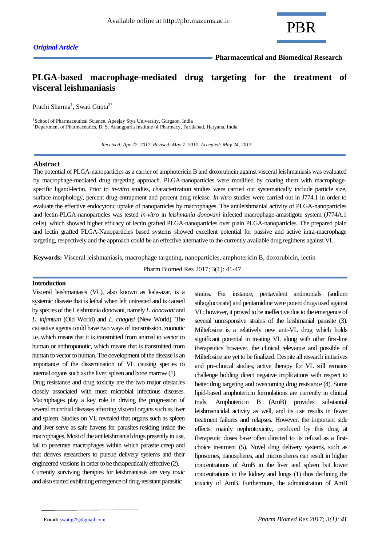

# **PLGA-based macrophage-mediated drug targeting for the treatment of visceral leishmaniasis**

Prachi Sharma<sup>1</sup>, Swati Gupta<sup>2\*</sup>

**1** School of Pharmaceutical Science, Apeejay Stya University, Gurgaon, India **<sup>2</sup>**Department of Pharmaceutics, B. S. Anangpuria Institute of Pharmacy, Faridabad, Haryana, India

 *Received: Apr 22, 2017, Revised: May 7, 2017, Accepted: May 24, 2017*

### **Abstract**

The potential of PLGA-nanoparticles as a carrier of amphotericin B and doxorubicin against visceral leishmaniasis was evaluated by macrophage-mediated drug targeting approach. PLGA-nanoparticles were modified by coating them with macrophagespecific ligand-lectin. Prior to *in-vitro* studies, characterization studies were carried out systematically include particle size, surface morphology, percent drug entrapment and percent drug release. *In vitro* studies were carried out in J774.1 in order to evaluate the effective endocytotic uptake of nanoparticles by macrophages. The antileishmanial activity of PLGA-nanoparticles and lectin-PLGA-nanoparticles was tested *in-vitro* in *leishmania donovani* infected macrophage-amastigote system (J774A.1 cells), which showed higher efficacy of lectin grafted PLGA-nanoparticles over plain PLGA-nanoparticles. The prepared plain and lectin grafted PLGA-Nanoparticles based systems showed excellent potential for passive and active intra-macrophage targeting, respectively and the approach could be an effective alternative to the currently available drug regimens against VL.

**Keywords:** Visceral leishmaniasis, macrophage targeting, nanoparticles, amphotericin B, doxorubicin, lectin

Pharm Biomed Res 2017; 3(1): 41-47

# **Introduction**

Visceral leishmaniasis (VL), also known as kala-azar, is a systemic disease that is lethal when left untreated and is caused by species of the Leishmania donovani, namely *L. donovani* and *L. infantum* (Old World) and *L. chagasi* (New World). The causative agents could have two ways of transmission, zoonotic i.e. which means that it is transmitted from animal to vector to human or anthroponotic, which means that is transmitted from human to vector to human. The development of the disease is an importance of the dissemination of VL causing species to internal organs such as the liver, spleen and bone marrow (1).

Drug resistance and drug toxicity are the two major obstacles closely associated with most microbial infectious diseases. Macrophages play a key role in driving the progression of several microbial diseases affecting visceral organs such as liver and spleen. Studies on VL revealed that organs such as spleen and liver serve as safe havens for parasites residing inside the macrophages. Most of the antileishmanial drugs presently in use, fail to penetrate macrophages within which parasite creep and that derives researchers to pursue delivery systems and their engineered versions in order to be therapeutically effective (2). Currently surviving therapies for leishmaniasis are very toxic and also started exhibiting emergence of drug-resistant parasitic

strains. For instance, pentavalent antimonials (sodium stibogluconate) and pentamidine were potent drugs used against VL; however, it proved to be ineffective due to the emergence of several unresponsive strains of the leishmanial parasite (3). Miltefosine is a relatively new anti-VL drug which holds significant potential in treating VL along with other first-line therapeutics however, the clinical relevance and possible of Miltefosine are yet to be finalized. Despite all research initiatives and pre-clinical studies, active therapy for VL still remains challenge holding direct negative implications with respect to better drug targeting and overcoming drug resistance (4). Some lipid-based amphotericin formulations are currently in clinical trials. Amphotericin B (AmB) provides substantial leishmanicidal activity as well, and its use results in fewer treatment failures and relapses. However, the important side effects, mainly nephrotoxicity, produced by this drug at therapeutic doses have often directed to its refusal as a firstchoice treatment (5). Novel drug delivery systems, such as liposomes, nanospheres, and microspheres can result in higher concentrations of AmB in the liver and spleen but lower concentrations in the kidney and lungs (1) thus declining the toxicity of AmB. Furthermore, the administration of AmB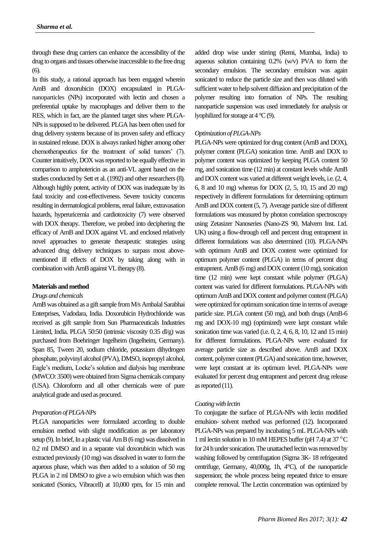through these drug carriers can enhance the accessibility of the drug to organs and tissues otherwise inaccessible to the free drug (6).

In this study, a rational approach has been engaged wherein AmB and doxorubicin (DOX) encapsulated in PLGAnanoparticles (NPs) incorporated with lectin and chosen a preferential uptake by macrophages and deliver them to the RES, which in fact, are the planned target sites where PLGA-NPs is supposed to be delivered. PLGA has been often used for drug delivery systems because of its proven safety and efficacy in sustained release. DOX is always ranked higher among other chemotherapeutics for the treatment of solid tumors' (7). Counter intuitively, DOX was reported to be equally effective in comparison to amphotericin as an anti-VL agent based on the studies conducted by Sett et al. (1992) and other researchers (8). Although highly potent, activity of DOX was inadequate by its fatal toxicity and cost-effectiveness. Severe toxicity concerns resulting in dermatological problems, renal failure, extravasation hazards, hyperuricemia and cardiotoxicity (7) were observed with DOX therapy. Therefore, we probed into deciphering the efficacy of AmB and DOX against VL and enclosed relatively novel approaches to generate therapeutic strategies using advanced drug delivery techniques to surpass most abovementioned ill effects of DOX by taking along with in combination with AmB against VL therapy (8).

# **Materials and method**

# *Drugs and chemicals*

AmB was obtained as a gift sample from M/s Ambalal Sarabhai Enterprises, Vadodara, India. Doxorubicin Hydrochloride was received as gift sample from Sun Pharmaceuticals Industries Limited, India. PLGA 50:50 (intrinsic viscosity 0.35 dl/g) was purchased from Boehringer Ingelheim (Ingelheim, Germany). Span 85, Tween 20, sodium chloride, potassium dihydrogen phosphate, polyvinyl alcohol (PVA), DMSO, isopropyl alcohol, Eagle's medium, Locke's solution and dialysis bag membrane (MWCO: 3500) were obtained from Sigma chemicals company (USA). Chloroform and all other chemicals were of pure analytical grade and used as procured.

#### *Preparation of PLGA-NPs*

PLGA nanoparticles were formulated according to double emulsion method with slight modification as per laboratory setup (9). In brief, In a plastic vial Am B (6 mg) was dissolved in 0.2 ml DMSO and in a separate vial doxorubicin which was extracted previously (10 mg) was dissolved in water to form the aqueous phase, which was then added to a solution of 50 mg PLGA in 2 ml DMSO to give a w/o emulsion which was then sonicated (Sonics, Vibracell) at 10,000 rpm, for 15 min and added drop wise under stirring (Remi, Mumbai, India) to aqueous solution containing 0.2% (w/v) PVA to form the secondary emulsion. The secondary emulsion was again sonicated to reduce the particle size and then was diluted with sufficient water to help solvent diffusion and precipitation of the polymer resulting into formation of NPs. The resulting nanoparticle suspension was used immediately for analysis or lyophilized for storage at  $4^{\circ}C(9)$ .

# *Optimization of PLGA-NPs*

PLGA-NPs were optimized for drug content (AmB and DOX), polymer content (PLGA) sonication time. AmB and DOX to polymer content was optimized by keeping PLGA content 50 mg, and sonication time (12 min) at constant levels while AmB and DOX content was varied at different weight levels, i.e. (2, 4, 6, 8 and 10 mg) whereas for DOX (2, 5, 10, 15 and 20 mg) respectively in different formulations for determining optimum AmB and DOX content (5, 7). Average particle size of different formulations was measured by photon correlation spectroscopy using Zetasizer Nanoseries (Nano-ZS 90, Malvern Inst. Ltd. UK) using a flow-through cell and percent drug entrapment in different formulations was also determined (10). PLGA-NPs with optimum AmB and DOX content were optimized for optimum polymer content (PLGA) in terms of percent drug entrapment. AmB (6 mg) and DOX content (10 mg), sonication time (12 min) were kept constant while polymer (PLGA) content was varied for different formulations. PLGA-NPs with optimum AmB and DOX content and polymer content (PLGA) were optimized for optimum sonication time in terms of average particle size. PLGA content (50 mg), and both drugs (AmB-6 mg and DOX-10 mg) (optimized) were kept constant while sonication time was varied (i.e. 0, 2, 4, 6, 8, 10, 12 and 15 min) for different formulations. PLGA-NPs were evaluated for average particle size as described above. AmB and DOX content, polymer content (PLGA) and sonication time, however, were kept constant at its optimum level. PLGA-NPs were evaluated for percent drug entrapment and percent drug release as reported (11).

#### *Coating with lectin*

To conjugate the surface of PLGA-NPs with lectin modified emulsion- solvent method was performed (12). Incorporated PLGA-NPs was prepared by incubating 5 mL PLGA-NPs with 1 ml lectin solution in 10 mM HEPES buffer (pH 7.4) at 37 $\mathrm{^{\circ}C}$ for 24 h under sonication. The unattached lectin was removed by washing followed by centrifugation (Sigma 3K- 18 refrigerated centrifuge, Germany, 40,000g, 1h, 4°C), of the nanoparticle suspension; the whole process being repeated thrice to ensure complete removal. The Lectin concentration was optimized by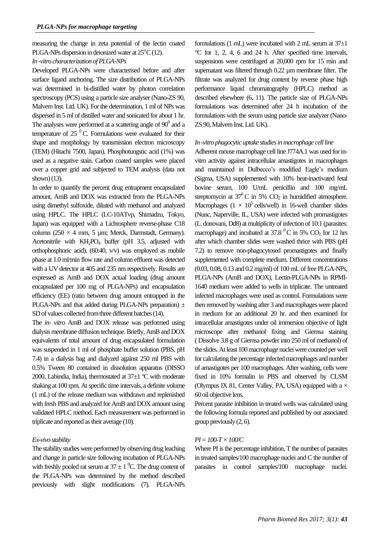measuring the change in zeta potential of the lectin coated PLGA-NPs dispersion in deionized water at  $25^{\circ}$ C (12).

# *In -vitro characterization of PLGA-NPs*

Developed PLGA-NPs were characterised before and after surface ligand anchoring. The size distribution of PLGA-NPs was determined in bi-distilled water by photon correlation spectroscopy (PCS) using a particle size analyser (Nano-ZS 90, Malvern Inst. Ltd. UK). For the determination, 1 ml of NPs was dispersed in 5 ml of distilled water and sonicated for about 1 hr. The analyses were performed at a scattering angle of  $90^0$  and a temperature of  $25<sup>0</sup>C$ . Formulations were evaluated for their shape and morphology by transmission electron microscopy (TEM) (Hitachi 7500, Japan). Phosphotungstic acid (1%) was used as a negative stain. Carbon coated samples were placed over a copper grid and subjected to TEM analysis (data not shown) (13).

In order to quantify the percent drug entrapment encapsulated amount, AmB and DOX was extracted from the PLGA-NPs using dimethyl sulfoxide, diluted with methanol and analyzed using HPLC. The HPLC (LC-10ATvp, Shimadzu, Tokyo, Japan) was equipped with a Lichrosphere reverse-phase C18 column (250  $\times$  4 mm, 5 µm; Merck, Darmstadt, Germany). Acetonitrile with  $KH_2PO_4$  buffer (pH 3.5, adjusted with orthophosphoric acid), (60:40, v/v) was employed as mobile phase at 1.0 ml/min flow rate and column effluent was detected with a UV detector at 405 and 235 nm respectively. Results are expressed as AmB and DOX actual loading (drug amount encapsulated per 100 mg of PLGA-NPs) and encapsulation efficiency (EE) (ratio between drug amount entrapped in the PLGA-NPs and that added during PLGA-NPs preparation)  $\pm$ SD of values collected from three different batches (14).

The *in- vitro* AmB and DOX release was performed using dialysis membrane diffusion technique. Briefly, AmB and DOX equivalents of total amount of drug encapsulated formulation was suspended in 1 ml of phosphate buffer solution (PBS, pH 7.4) in a dialysis bag and dialyzed against 250 ml PBS with 0.5% Tween 80 contained in dissolution apparatus (DISSO 2000, Labindia, India), thermostated at  $37\pm1$  °C with moderate shaking at 100 rpm. At specific time intervals, a definite volume (1 mL) of the release medium was withdrawn and replenished with fresh PBS and analyzed for AmB and DOX amount using validated HPLC method. Each measurement was performed in triplicate and reported as their average (10).

# *Ex-vivo stability*

The stability studies were performed by observing drug leaching and change in particle size following incubation of PLGA-NPs with freshly pooled rat serum at  $37 \pm 1$  °C. The drug content of the PLGA-NPs was determined by the method described previously with slight modifications (7). PLGA-NPs

formulations (1 mL) were incubated with 2 mL serum at  $37\pm1$ °C for 1, 2, 4, 6 and 24 h. After specified time intervals, suspensions were centrifuged at 20,000 rpm for 15 min and supernatant was filtered through 0.22 µm membrane filter. The filtrate was analyzed for drug content by reverse phase high performance liquid chromatography (HPLC) method as described elsewhere (6, 11). The particle size of PLGA-NPs formulations was determined after 24 h incubation of the formulations with the serum using particle size analyzer (Nano-ZS 90, Malvern Inst. Ltd. UK).

# *In -vitro phagocytic uptake studies in macrophage cell line*

Adherent mouse macrophage cell line J774A.1 was used for invitro activity against intracellular amastigotes in macrophages and maintained in Dulbecco's modified Eagle's medium (Sigma, USA) supplemented with 10% heat-inactivated fetal bovine serum, 100 U/mL penicillin and 100 mg/mL streptomycin at  $37^{\circ}$ C in 5% CO<sub>2</sub> in humidified atmosphere. Macrophages ( $1 \times 10^5$  cells/well) in 16-well chamber slides (Nunc, Naperville, IL, USA) were infected with promastigotes (L. donovani, Dd8) at multiplicity of infection of 10:1 (parasites: macrophage) and incubated at  $37.8<sup>0</sup>C$  in 5% CO<sub>2</sub> for 12 hrs after which chamber slides were washed thrice with PBS (pH 7.2) to remove non-phagocytosed promastigotes and finally supplemented with complete medium. Different concentrations (0.03, 0.08, 0.13 and 0.2 mg/ml) of 100 mL of free PLGA-NPs, PLGA-NPs (AmB and DOX), Lectin-PLGA-NPs in RPMI-1640 medium were added to wells in triplicate. The untreated infected macrophages were used as control. Formulations were then removed by washing after 3 and macrophages were placed in medium for an additional 20 hr. and then examined for intracellular amastigotes under oil immersion objective of light microscope after methanol fixing and Giemsa staining ( Dissolve 3.8 g of Giemsa powder into 250 ml of methanol) of the slides. At least 100 macrophage nuclei were counted per well for calculating the percentage infected macrophages and number of amastigotes per 100 macrophages. After washing, cells were fixed in 10% formalin in PBS and observed by CLSM (Olympus IX 81, Center Valley, PA, USA) equipped with a  $\times$ 60 oil objective lens.

Percent parasite inhibition in treated wells was calculated using the following formula reported and published by our associated group previously (2, 6).

# *PI = 100-T× 100/C*

Where PI is the percentage inhibition, T the number of parasites in treated samples/100 macrophage nuclei and C the number of parasites in control samples/100 macrophage nuclei.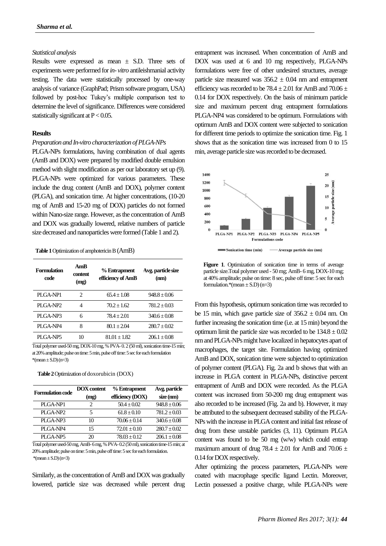# *Statistical analysis*

Results were expressed as mean  $\pm$  S.D. Three sets of experiments were performed for *in- vitro* antileishmanial activity testing. The data were statistically processed by one-way analysis of variance (GraphPad; Prism software program, USA) followed by post-hoc Tukey's multiple comparison test to determine the level of significance. Differences were considered statistically significant at  $P < 0.05$ .

# **Results**

#### *Preparation and In-vitro characterization of PLGA-NPs*

PLGA-NPs formulations, having combination of dual agents (AmB and DOX) were prepared by modified double emulsion method with slight modification as per our laboratory set up (9). PLGA-NPs were optimized for various parameters. These include the drug content (AmB and DOX), polymer content (PLGA), and sonication time. At higher concentrations, (10-20 mg of AmB and 15-20 mg of DOX) particles do not formed within Nano-size range. However, as the concentration of AmB and DOX was gradually lowered, relative numbers of particle size decreased and nanoparticles were formed (Table 1 and 2).

 **Table 1** Optimization of amphotericin B(AmB)

| Formulation<br>code  | AmR<br>content<br>(mg) | % Entrapment<br>efficiency of AmB | Avg. particle size<br>(nm) |
|----------------------|------------------------|-----------------------------------|----------------------------|
| PLGA-NP1             | 2                      | $65.4 + 1.08$                     | $948.8 + 0.06$             |
| PLGA-NP <sub>2</sub> | 4                      | $70.2 + 1.62$                     | $781.2 \pm 0.03$           |
| PLGA-NP3             | 6                      | $78.4 + 2.01$                     | $340.6 + 0.08$             |
| PLGA-NP4             | 8                      | $80.1 + 2.04$                     | $280.7 \pm 0.02$           |
| PLGA-NP5             | 10                     | $81.01 + 1.82$                    | $206.1 + 0.08$             |

Total polymer used-50 mg, DOX-10 mg, % PVA- 0. 2 (50 ml), sonication time-15 min; at 20% amplitude; pulse on time: 5 min, pulse off time: 5 sec for each formulation  $*(mean \pm S.D)(n=3)$ 

 **Table 2** Optimization of doxorubicin (DOX)

| <b>DOX</b> content | % Entrapment     | Avg. particle    |
|--------------------|------------------|------------------|
| (mg)               | efficiency (DOX) | $size$ (nm)      |
| 2                  | $50.4 + 0.02$    | $948.8 + 0.06$   |
| 5                  | $61.8 + 0.10$    | $781.2 + 0.03$   |
| 10                 | $70.06 + 0.14$   | $340.6 + 0.08$   |
| 15                 | $72.01 \pm 0.10$ | $280.7 \pm 0.02$ |
| 20                 | $78.03 + 0.12$   | $206.1 + 0.08$   |
|                    |                  |                  |

Total polymer used-50 mg, AmB-6 mg, % PVA-0.2 (50 ml), sonication time-15 min; at 20% amplitude; pulse on time: 5 min, pulse off time: 5 sec for each formulation.  $*(mean \pm S.D)(n=3)$ 

Similarly, as the concentration of AmB and DOX was gradually lowered, particle size was decreased while percent drug

entrapment was increased. When concentration of AmB and DOX was used at 6 and 10 mg respectively, PLGA-NPs formulations were free of other undesired structures, average particle size measured was  $356.2 \pm 0.04$  nm and entrapment efficiency was recorded to be  $78.4 \pm 2.01$  for AmB and  $70.06 \pm$ 0.14 for DOX respectively. On the basis of minimum particle size and maximum percent drug entrapment formulations PLGA-NP4 was considered to be optimum. Formulations with optimum AmB and DOX content were subjected to sonication for different time periods to optimize the sonication time. Fig. 1 shows that as the sonication time was increased from 0 to 15 min, average particle size was recorded to be decreased.



Figure 1. Optimization of sonication time in terms of average particle size.Total polymer used - 50 mg; AmB- 6 mg, DOX-10 mg; at 40% amplitude; pulse on time: 8 sec, pulse off time: 5 sec for each formulation.\*(mean  $\pm$  S.D) (n=3)

From this hypothesis, optimum sonication time was recorded to be 15 min, which gave particle size of  $356.2 \pm 0.04$  nm. On further increasing the sonication time (i.e. at 15 min) beyond the optimum limit the particle size was recorded to be  $134.8 \pm 0.02$ nm and PLGA-NPs might have localized in hepatocytes apart of macrophages, the target site. Formulation having optimized AmB and DOX, sonication time were subjected to optimization of polymer content (PLGA). Fig. 2a and b shows that with an increase in PLGA content in PLGA-NPs, distinctive percent entrapment of AmB and DOX were recorded. As the PLGA content was increased from 50-200 mg drug entrapment was also recorded to be increased (Fig. 2a and b). However, it may be attributed to the subsequent decreased stability of the PLGA-NPs with the increase in PLGA content and initial fast release of drug from these unstable particles (3, 11). Optimum PLGA content was found to be 50 mg (w/w) which could entrap maximum amount of drug 78.4  $\pm$  2.01 for AmB and 70.06  $\pm$ 0.14 for DOX respectively.

After optimizing the process parameters, PLGA-NPs were coated with macrophage specific ligand Lectin. Moreover, Lectin possessed a positive charge, while PLGA-NPs were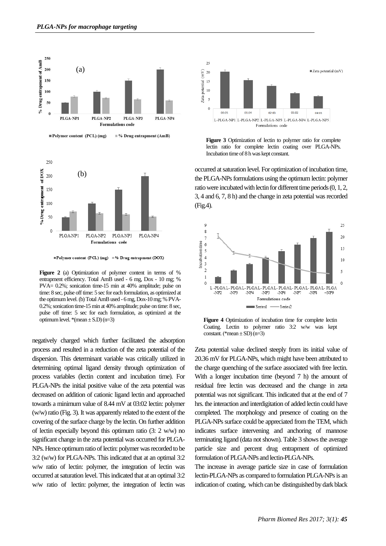



**■Polymer content (PCL) (mg) ■% Drug entrapment (DOX)** 

Figure 2 (a) Optimization of polymer content in terms of % entrapment efficiency. Total AmB used - 6 mg, Dox - 10 mg; % PVA= 0.2%; sonication time-15 min at 40% amplitude; pulse on time: 8 sec, pulse off time: 5 sec for each formulation, as optimized at the optimumlevel.(b) Total AmB used - 6 mg, Dox-10 mg; % PVA-0.2%; sonication time-15 min at 40% amplitude; pulse on time: 8 sec, pulse off time: 5 sec for each formulation, as optimized at the optimum level.  $*(mean \pm S.D)(n=3)$ 

negatively charged which further facilitated the adsorption process and resulted in a reduction of the zeta potential of the dispersion. This determinant variable was critically utilized in determining optimal ligand density through optimization of process variables (lectin content and incubation time). For PLGA-NPs the initial positive value of the zeta potential was decreased on addition of cationic ligand lectin and approached towards a minimum value of 8.44 mV at 03:02 lectin: polymer (w/w) ratio (Fig. 3). It was apparently related to the extent of the covering of the surface charge by the lectin. On further addition of lectin especially beyond this optimum ratio (3: 2 w/w) no significant change in the zeta potential was occurred for PLGA-NPs. Hence optimum ratio of lectin: polymer was recorded to be 3:2 (w/w) for PLGA-NPs. This indicated that at an optimal 3:2 w/w ratio of lectin: polymer, the integration of lectin was occurred at saturation level. This indicated that at an optimal 3:2 w/w ratio of lectin: polymer, the integration of lectin was



Figure 3 Optimization of lectin to polymer ratio for complete lectin ratio for complete lectin coating over PLGA-NPs. Incubation time of 8 h was kept constant.

occurred at saturation level. For optimization of incubation time, the PLGA-NPs formulations using the optimum lectin: polymer ratio were incubated with lectin for different time periods (0, 1, 2, 3, 4 and 6, 7, 8 h) and the change in zeta potential was recorded (Fig.4).



**Figure 4** Optimization of incubation time for complete lectin Coating. Lectin to polymer ratio 3:2 w/w was kept constant. (\*mean  $\pm$  SD) (n=3)

Zeta potential value declined steeply from its initial value of 20.36 mV for PLGA-NPs, which might have been attributed to the charge quenching of the surface associated with free lectin. With a longer incubation time (beyond 7 h) the amount of residual free lectin was decreased and the change in zeta potential was not significant. This indicated that at the end of 7 hrs. the interaction and interdigitation of added lectin could have completed. The morphology and presence of coating on the PLGA-NPs surface could be appreciated from the TEM, which indicates surface intervening and anchoring of mannose terminating ligand (data not shown). Table 3 shows the average particle size and percent drug entrapment of optimized formulation of PLGA-NPs and lectin-PLGA-NPs.

The increase in average particle size in case of formulation lectin-PLGA-NPs as compared to formulation PLGA-NPs is an indication of coating, which can be distinguished by dark black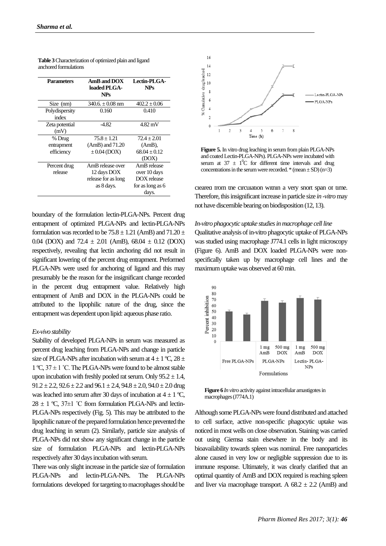| <b>Parameters</b>       | AmB and DOX<br>loaded PLGA-<br><b>NPs</b> | Lectin-PLGA-<br><b>NPs</b> |
|-------------------------|-------------------------------------------|----------------------------|
| Size (nm)               | $340.6 \pm 0.08$ nm                       | $402.2 \pm 0.06$           |
| Polydispersity<br>index | 0.160                                     | 0.410                      |
| Zeta potential<br>(mV)  | -4.82                                     | 4.82 mV                    |
| % Drug                  | $75.8 + 1.21$                             | $72.4 + 2.01$              |
| entrapment              | $(AmB)$ and $71.20$                       | $(AmB)$ ,                  |
| efficiency              | $\pm 0.04$ (DOX)                          | $68.04 + 0.12$             |
|                         |                                           | (DOX)                      |
| Percent drug            | AmB release over                          | AmB release                |
| release                 | 12 days DOX                               | over 10 days               |
|                         | release for as long                       | DOX release                |
|                         | as 8 days.                                | for as long as 6<br>days.  |

**Table 3** Characterization of optimized plain and ligand anchored formulations

boundary of the formulation lectin-PLGA-NPs. Percent drug entrapment of optimized PLGA-NPs and lectin-PLGA-NPs formulation was recorded to be  $75.8 \pm 1.21$  (AmB) and  $71.20 \pm 1.21$ 0.04 (DOX) and 72.4  $\pm$  2.01 (AmB), 68.04  $\pm$  0.12 (DOX) respectively, revealing that lectin anchoring did not result in significant lowering of the percent drug entrapment. Preformed PLGA-NPs were used for anchoring of ligand and this may presumably be the reason for the insignificant change recorded in the percent drug entrapment value. Relatively high entrapment of AmB and DOX in the PLGA-NPs could be attributed to the lipophilic nature of the drug, since the entrapment was dependent upon lipid: aqueous phase ratio.

# *Ex-vivo stability*

Stability of developed PLGA-NPs in serum was measured as percent drug leaching from PLGA-NPs and change in particle size of PLGA-NPs after incubation with serum at  $4 \pm 1$  °C,  $28 \pm 1$ 1 °C,  $37 \pm 1$  °C. The PLGA-NPs were found to be almost stable upon incubation with freshly pooled rat serum. Only  $95.2 \pm 1.4$ ,  $91.2 \pm 2.2$ ,  $92.6 \pm 2.2$  and  $96.1 \pm 2.4$ ,  $94.8 \pm 2.0$ ,  $94.0 \pm 2.0$  drug was leached into serum after 30 days of incubation at  $4 \pm 1$  °C,  $28 \pm 1$  °C, 37 $\pm$ 1 °C from formulation PLGA-NPs and lectin-PLGA-NPs respectively (Fig. 5). This may be attributed to the lipophilic nature of the prepared formulation hence prevented the drug leaching in serum (2). Similarly, particle size analysis of PLGA-NPs did not show any significant change in the particle size of formulation PLGA-NPs and lectin-PLGA-NPs respectively after 30 days incubation with serum.

There was only slight increase in the particle size of formulation PLGA-NPs and lectin-PLGA-NPs. The PLGA-NPs formulations developed for targeting to macrophages should be



**Figure 5.** In vitro drug leaching in serum from plain PLGA-NPs and coated Lectin-PLGA-NPs). PLGA-NPs were incubated with serum at  $37 \pm 10^{\circ}$ C for different time intervals and drug concentrations in the serum were recorded.  $*(mean \pm SD)$  (n=3)

cleared from the circulation within a very short span of time. Therefore, this insignificant increase in particle size *in -vitro*may not have discernible bearing on biodisposition (12, 13).

*In-vitro phagocytic uptake studies in macrophage cell line* Qualitative analysis of in-vitro phagocytic uptake of PLGA-NPs was studied using macrophage J774.1 cells in light microscopy (Figure 6). AmB and DOX loaded PLGA-NPs were nonspecifically taken up by macrophage cell lines and the maximum uptake was observed at 60 min.



**Figure 6** *In vitro* activity against intracellular amastigotes in macrophages (J774A.1)

Although some PLGA-NPs were found distributed and attached to cell surface, active non-specific phagocytic uptake was noticed in most wells on close observation. Staining was carried out using Giemsa stain elsewhere in the body and its bioavailability towards spleen was nominal. Free nanoparticles alone caused in very low or negligible suppression due to its immune response. Ultimately, it was clearly clarified that an optimal quantity of AmB and DOX required is reaching spleen and liver via macrophage transport. A  $68.2 \pm 2.2$  (AmB) and